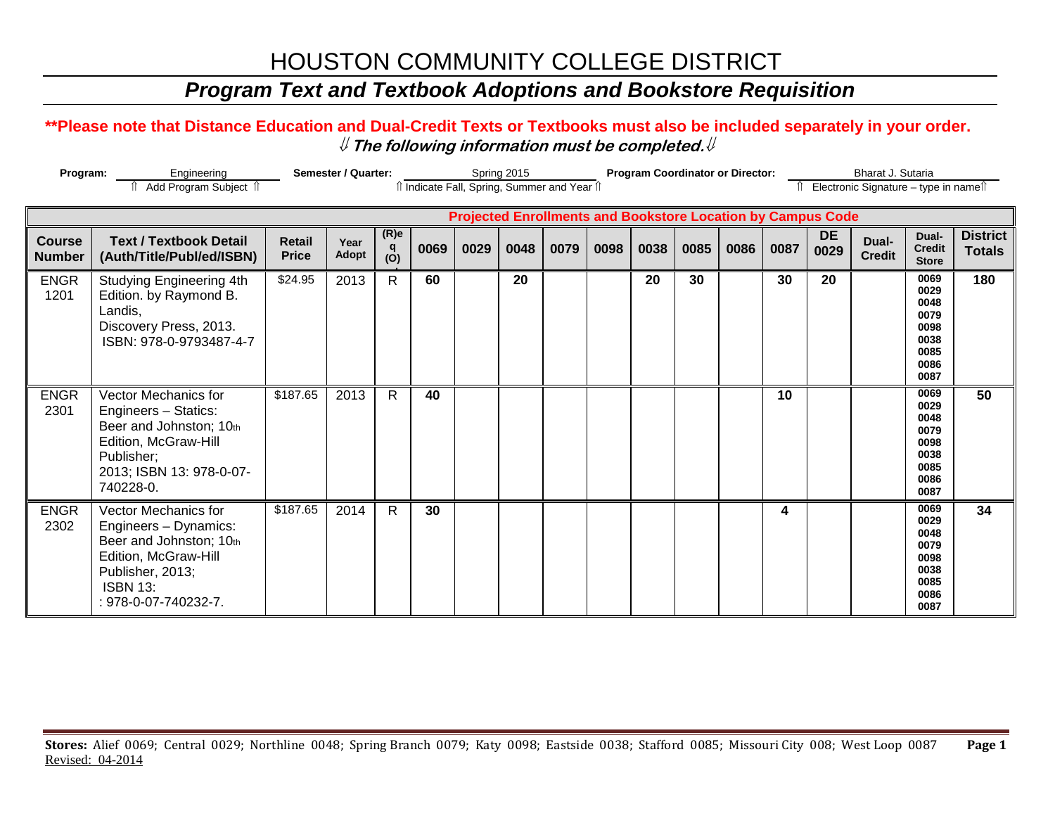# HOUSTON COMMUNITY COLLEGE DISTRICT

### *Program Text and Textbook Adoptions and Bookstore Requisition*

### **\*\*Please note that Distance Education and Dual-Credit Texts or Textbooks must also be included separately in your order.**  ⇓ **The following information must be completed.**⇓

| Program:                       |                                                                                                                                                                        | <b>Semester / Quarter:</b>    |               |                             | <b>Program Coordinator or Director:</b><br>Spring 2015<br>îl Indicate Fall, Spring, Summer and Year îl |      |      |      |      |      |      |      |      | Bharat J. Sutaria<br>Electronic Signature - type in namest |                        |                                                                      |                                  |  |  |
|--------------------------------|------------------------------------------------------------------------------------------------------------------------------------------------------------------------|-------------------------------|---------------|-----------------------------|--------------------------------------------------------------------------------------------------------|------|------|------|------|------|------|------|------|------------------------------------------------------------|------------------------|----------------------------------------------------------------------|----------------------------------|--|--|
|                                | <b>Projected Enrollments and Bookstore Location by Campus Code</b>                                                                                                     |                               |               |                             |                                                                                                        |      |      |      |      |      |      |      |      |                                                            |                        |                                                                      |                                  |  |  |
| <b>Course</b><br><b>Number</b> | <b>Text / Textbook Detail</b><br>(Auth/Title/Publ/ed/ISBN)                                                                                                             | <b>Retail</b><br><b>Price</b> | Year<br>Adopt | (R)e<br>q<br>$\overline{O}$ | 0069                                                                                                   | 0029 | 0048 | 0079 | 0098 | 0038 | 0085 | 0086 | 0087 | <b>DE</b><br>0029                                          | Dual-<br><b>Credit</b> | Dual-<br><b>Credit</b><br><b>Store</b>                               | <b>District</b><br><b>Totals</b> |  |  |
| <b>ENGR</b><br>1201            | Studying Engineering 4th<br>Edition. by Raymond B.<br>Landis,<br>Discovery Press, 2013.<br>ISBN: 978-0-9793487-4-7                                                     | \$24.95                       | 2013          | $\mathsf{R}$                | 60                                                                                                     |      | 20   |      |      | 20   | 30   |      | 30   | 20                                                         |                        | 0069<br>0029<br>0048<br>0079<br>0098<br>0038<br>0085<br>0086<br>0087 | 180                              |  |  |
| <b>ENGR</b><br>2301            | <b>Vector Mechanics for</b><br>Engineers - Statics:<br>Beer and Johnston; 10th<br>Edition, McGraw-Hill<br>Publisher;<br>2013; ISBN 13: 978-0-07-<br>740228-0.          | \$187.65                      | 2013          | R                           | 40                                                                                                     |      |      |      |      |      |      |      | 10   |                                                            |                        | 0069<br>0029<br>0048<br>0079<br>0098<br>0038<br>0085<br>0086<br>0087 | 50                               |  |  |
| <b>ENGR</b><br>2302            | <b>Vector Mechanics for</b><br>Engineers - Dynamics:<br>Beer and Johnston; 10th<br>Edition, McGraw-Hill<br>Publisher, 2013;<br><b>ISBN 13:</b><br>: 978-0-07-740232-7. | \$187.65                      | 2014          | $\mathsf{R}$                | 30                                                                                                     |      |      |      |      |      |      |      | 4    |                                                            |                        | 0069<br>0029<br>0048<br>0079<br>0098<br>0038<br>0085<br>0086<br>0087 | 34                               |  |  |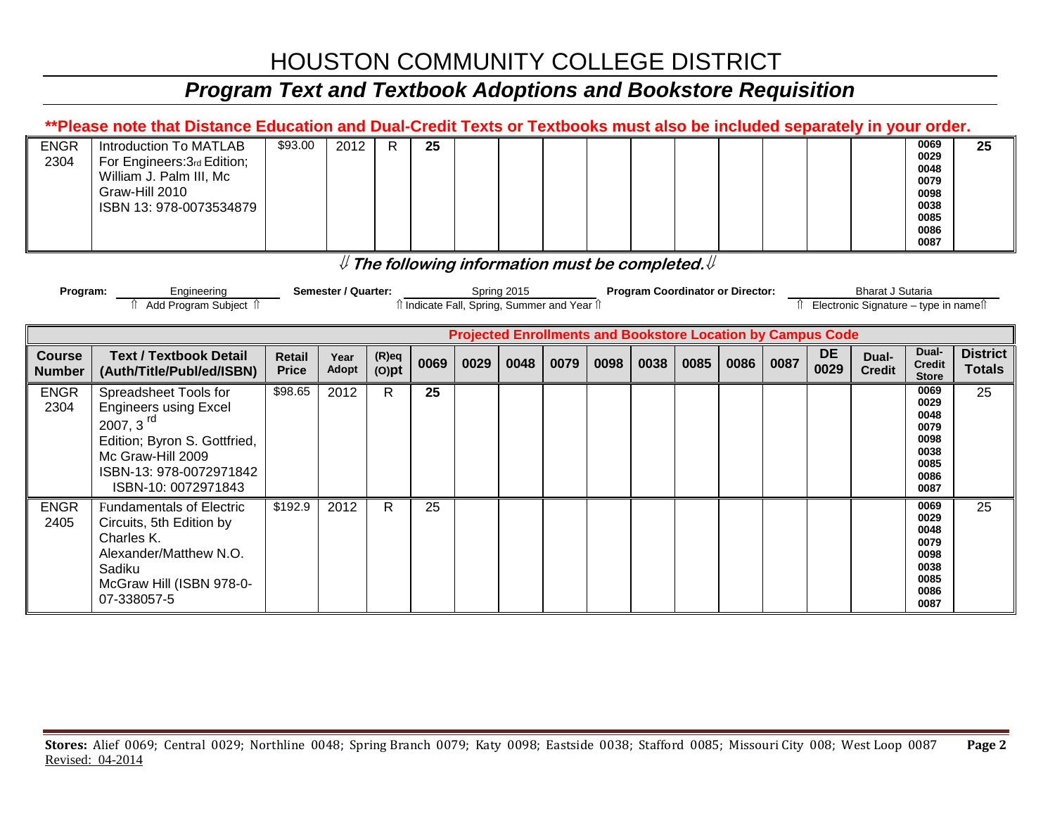# HOUSTON COMMUNITY COLLEGE DISTRICT

# *Program Text and Textbook Adoptions and Bookstore Requisition*

| **Please note that Distance Education and Dual-Credit Texts or Textbooks must also be included separately in your order. |                                                                                                                                                                                                                                                        |                               |               |                      |      |      |      |      |      |      |                                                                    |      |      |                   |                        |                                                                      |                                  |
|--------------------------------------------------------------------------------------------------------------------------|--------------------------------------------------------------------------------------------------------------------------------------------------------------------------------------------------------------------------------------------------------|-------------------------------|---------------|----------------------|------|------|------|------|------|------|--------------------------------------------------------------------|------|------|-------------------|------------------------|----------------------------------------------------------------------|----------------------------------|
| <b>ENGR</b><br>2304                                                                                                      | Introduction To MATLAB<br>For Engineers: 3rd Edition;<br>William J. Palm III, Mc<br>Graw-Hill 2010<br>ISBN 13: 978-0073534879                                                                                                                          | \$93.00                       | 2012          | R.                   | 25   |      |      |      |      |      |                                                                    |      |      |                   |                        | 0069<br>0029<br>0048<br>0079<br>0098<br>0038<br>0085<br>0086<br>0087 | 25                               |
|                                                                                                                          | $\#$ The following information must be completed. $\#$                                                                                                                                                                                                 |                               |               |                      |      |      |      |      |      |      |                                                                    |      |      |                   |                        |                                                                      |                                  |
|                                                                                                                          | Semester / Quarter:<br><b>Program Coordinator or Director:</b><br><b>Bharat J Sutaria</b><br>Spring 2015<br>Engineering<br>Program:<br>î Add Program Subiect î<br>î Indicate Fall, Spring, Summer and Year î<br>Î Electronic Signature – type in nameî |                               |               |                      |      |      |      |      |      |      |                                                                    |      |      |                   |                        |                                                                      |                                  |
|                                                                                                                          |                                                                                                                                                                                                                                                        |                               |               |                      |      |      |      |      |      |      | <b>Projected Enrollments and Bookstore Location by Campus Code</b> |      |      |                   |                        |                                                                      |                                  |
| <b>Course</b><br><b>Number</b>                                                                                           | <b>Text / Textbook Detail</b><br>(Auth/Title/Publ/ed/ISBN)                                                                                                                                                                                             | <b>Retail</b><br><b>Price</b> | Year<br>Adopt | $(R)$ eq<br>$(O)$ pt | 0069 | 0029 | 0048 | 0079 | 0098 | 0038 | 0085                                                               | 0086 | 0087 | <b>DE</b><br>0029 | Dual-<br><b>Credit</b> | Dual-<br><b>Credit</b><br><b>Store</b>                               | <b>District</b><br><b>Totals</b> |
| <b>ENGR</b><br>2304                                                                                                      | Spreadsheet Tools for                                                                                                                                                                                                                                  | \$98.65                       |               |                      |      |      |      |      |      |      |                                                                    |      |      |                   |                        |                                                                      |                                  |
|                                                                                                                          | <b>Engineers using Excel</b><br>2007, $3rd$<br>Edition; Byron S. Gottfried,<br>Mc Graw-Hill 2009<br>ISBN-13: 978-0072971842<br>ISBN-10: 0072971843                                                                                                     |                               | 2012          | R.                   | 25   |      |      |      |      |      |                                                                    |      |      |                   |                        | 0069<br>0029<br>0048<br>0079<br>0098<br>0038<br>0085<br>0086<br>0087 | 25                               |